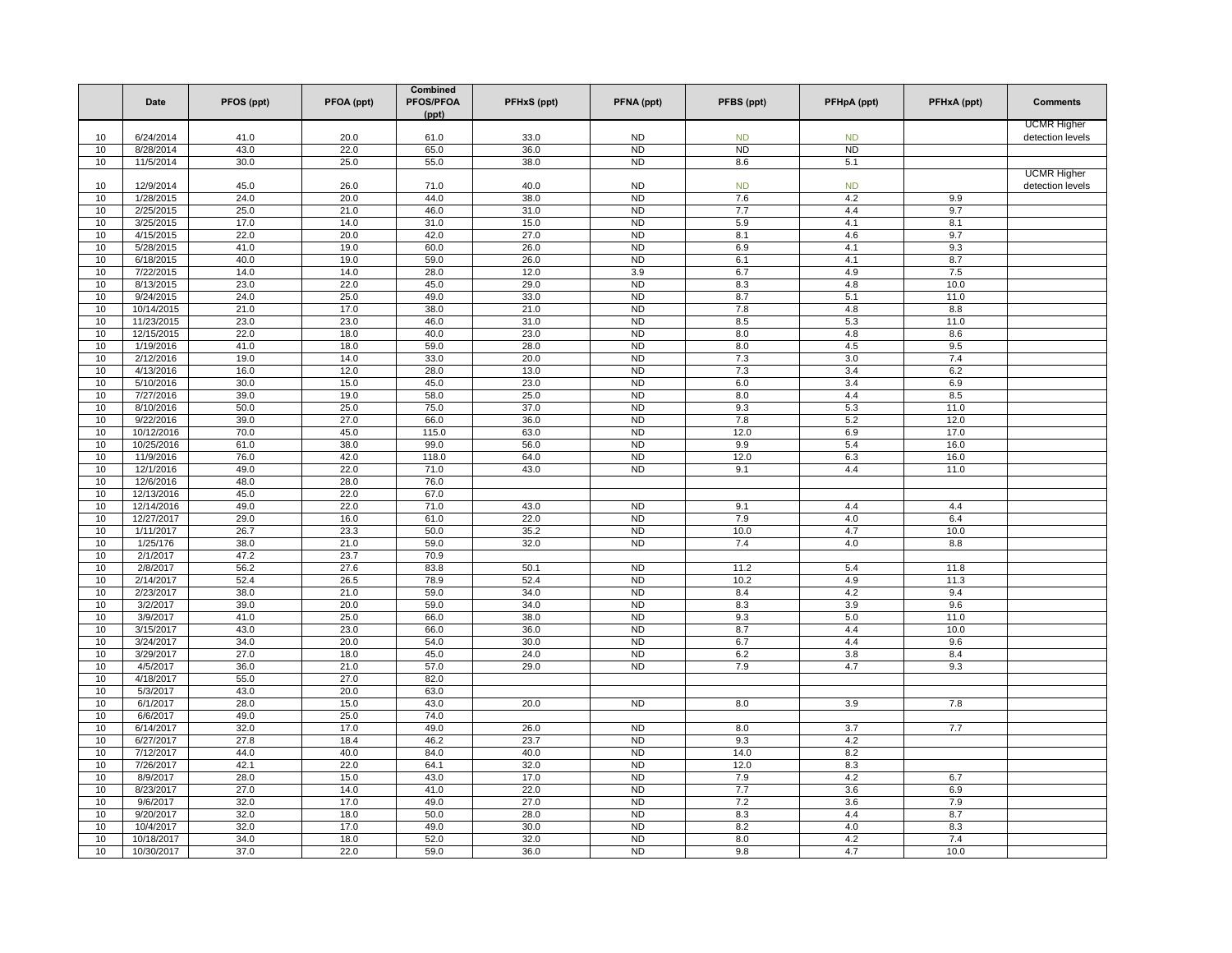|          | Date                    | PFOS (ppt)   | PFOA (ppt)   | Combined<br>PFOS/PFOA<br>(ppt) | PFHxS (ppt)  | PFNA (ppt)                       | PFBS (ppt)     | PFHpA (ppt)      | PFHxA (ppt) | <b>Comments</b>    |
|----------|-------------------------|--------------|--------------|--------------------------------|--------------|----------------------------------|----------------|------------------|-------------|--------------------|
|          |                         |              |              |                                |              |                                  |                |                  |             | <b>UCMR Higher</b> |
| 10       | 6/24/2014               | 41.0         | 20.0         | 61.0                           | 33.0         | <b>ND</b>                        | <b>ND</b>      | <b>ND</b>        |             | detection levels   |
| 10       | 8/28/2014               | 43.0         | 22.0         | 65.0                           | 36.0         | N <sub>D</sub>                   | N <sub>D</sub> | ND               |             |                    |
| 10       | 11/5/2014               | 30.0         | 25.0         | 55.0                           | 38.0         | <b>ND</b>                        | 8.6            | 5.1              |             | <b>UCMR Higher</b> |
| 10       | 12/9/2014               | 45.0         | 26.0         | 71.0                           | 40.0         | <b>ND</b>                        | <b>ND</b>      | <b>ND</b>        |             | detection levels   |
| 10       | 1/28/2015               | 24.0         | 20.0         | 44.0                           | 38.0         | N <sub>D</sub>                   | 7.6            | 4.2              | 9.9         |                    |
| 10       | 2/25/2015               | 25.0         | 21.0         | 46.0                           | 31.0         | <b>ND</b>                        | 7.7            | 4.4              | 9.7         |                    |
| 10       | 3/25/2015               | 17.0         | 14.0         | 31.0                           | 15.0         | <b>ND</b>                        | 5.9            | 4.1              | 8.1         |                    |
| 10       | 4/15/2015               | 22.0         | 20.0         | 42.0                           | 27.0         | <b>ND</b>                        | 8.1            | 4.6              | 9.7         |                    |
| 10       | 5/28/2015               | 41.0         | 19.0         | 60.0                           | 26.0         | N <sub>D</sub>                   | 6.9            | 4.1              | 9.3         |                    |
| 10       | 6/18/2015               | 40.0         | 19.0         | 59.0                           | 26.0         | N <sub>D</sub>                   | 6.1            | 4.1              | 8.7         |                    |
| 10       | 7/22/2015               | 14.0         | 14.0         | 28.0                           | 12.0         | 3.9                              | 6.7            | 4.9              | 7.5         |                    |
| 10       | 8/13/2015               | 23.0         | 22.0         | 45.0                           | 29.0         | N <sub>D</sub>                   | 8.3            | 4.8              | 10.0        |                    |
| 10<br>10 | 9/24/2015<br>10/14/2015 | 24.0<br>21.0 | 25.0<br>17.0 | 49.0<br>38.0                   | 33.0<br>21.0 | N <sub>D</sub><br>N <sub>D</sub> | 8.7<br>7.8     | 5.1<br>4.8       | 11.0<br>8.8 |                    |
| 10       | 11/23/2015              | 23.0         | 23.0         | 46.0                           | 31.0         | N <sub>D</sub>                   | 8.5            | 5.3              | 11.0        |                    |
| 10       | 12/15/2015              | 22.0         | 18.0         | 40.0                           | 23.0         | <b>ND</b>                        | 8.0            | 4.8              | 8.6         |                    |
| 10       | 1/19/2016               | 41.0         | 18.0         | 59.0                           | 28.0         | N <sub>D</sub>                   | 8.0            | 4.5              | 9.5         |                    |
| 10       | 2/12/2016               | 19.0         | 14.0         | 33.0                           | 20.0         | <b>ND</b>                        | 7.3            | 3.0              | 7.4         |                    |
| 10       | 4/13/2016               | 16.0         | 12.0         | 28.0                           | 13.0         | <b>ND</b>                        | 7.3            | 3.4              | 6.2         |                    |
| 10       | 5/10/2016               | 30.0         | 15.0         | 45.0                           | 23.0         | <b>ND</b>                        | 6.0            | 3.4              | 6.9         |                    |
| 10       | 7/27/2016               | 39.0         | 19.0         | 58.0                           | 25.0         | N <sub>D</sub>                   | 8.0            | 4.4              | 8.5         |                    |
| 10       | 8/10/2016               | 50.0         | 25.0         | 75.0                           | 37.0         | N <sub>D</sub>                   | 9.3            | 5.3              | 11.0        |                    |
| 10       | 9/22/2016               | 39.0         | 27.0         | 66.0                           | 36.0         | <b>ND</b>                        | $7.8$          | 5.2              | 12.0        |                    |
| 10       | 10/12/2016              | 70.0         | 45.0         | 115.0                          | 63.0         | N <sub>D</sub>                   | 12.0           | 6.9              | 17.0        |                    |
| 10       | 10/25/2016              | 61.0         | 38.0         | 99.0                           | 56.0         | N <sub>D</sub>                   | 9.9            | 5.4              | 16.0        |                    |
| 10       | 11/9/2016               | 76.0         | 42.0         | 118.0                          | 64.0         | N <sub>D</sub>                   | 12.0           | 6.3              | 16.0        |                    |
| 10<br>10 | 12/1/2016<br>12/6/2016  | 49.0<br>48.0 | 22.0<br>28.0 | 71.0<br>76.0                   | 43.0         | <b>ND</b>                        | 9.1            | 4.4              | 11.0        |                    |
| 10       | 12/13/2016              | 45.0         | 22.0         | 67.0                           |              |                                  |                |                  |             |                    |
| 10       | 12/14/2016              | 49.0         | 22.0         | 71.0                           | 43.0         | N <sub>D</sub>                   | 9.1            | 4.4              | 4.4         |                    |
| 10       | 12/27/2017              | 29.0         | 16.0         | 61.0                           | 22.0         | <b>ND</b>                        | 7.9            | 4.0              | 6.4         |                    |
| 10       | 1/11/2017               | 26.7         | 23.3         | 50.0                           | 35.2         | N <sub>D</sub>                   | 10.0           | 4.7              | 10.0        |                    |
| 10       | 1/25/176                | 38.0         | 21.0         | 59.0                           | 32.0         | N <sub>D</sub>                   | 7.4            | 4.0              | 8.8         |                    |
| 10       | 2/1/2017                | 47.2         | 23.7         | 70.9                           |              |                                  |                |                  |             |                    |
| 10       | 2/8/2017                | 56.2         | 27.6         | 83.8                           | 50.1         | N <sub>D</sub>                   | 11.2           | 5.4              | 11.8        |                    |
| 10       | 2/14/2017               | 52.4         | 26.5         | 78.9                           | 52.4         | N <sub>D</sub>                   | 10.2           | 4.9              | 11.3        |                    |
| 10       | 2/23/2017               | 38.0         | 21.0         | 59.0                           | 34.0         | <b>ND</b>                        | 8.4            | 4.2              | 9.4         |                    |
| 10       | 3/2/2017                | 39.0         | 20.0         | 59.0                           | 34.0         | <b>ND</b>                        | 8.3            | 3.9              | 9.6         |                    |
| 10       | 3/9/2017                | 41.0         | 25.0         | 66.0                           | 38.0         | <b>ND</b>                        | 9.3            | 5.0              | 11.0        |                    |
| 10<br>10 | 3/15/2017<br>3/24/2017  | 43.0<br>34.0 | 23.0         | 66.0<br>54.0                   | 36.0<br>30.0 | <b>ND</b><br>N <sub>D</sub>      | 8.7            | 4.4<br>4.4       | 10.0<br>9.6 |                    |
| 10       | 3/29/2017               | 27.0         | 20.0<br>18.0 | 45.0                           | 24.0         | N <sub>D</sub>                   | 6.7<br>6.2     | 3.8              | 8.4         |                    |
| 10       | 4/5/2017                | 36.0         | 21.0         | 57.0                           | 29.0         | ND                               | 7.9            | 4.7              | 9.3         |                    |
| 10       | 4/18/2017               | 55.0         | 27.0         | 82.0                           |              |                                  |                |                  |             |                    |
| 10       | 5/3/2017                | 43.0         | 20.0         | 63.0                           |              |                                  |                |                  |             |                    |
| 10       | 6/1/2017                | 28.0         | 15.0         | 43.0                           | 20.0         | N <sub>D</sub>                   | 8.0            | 3.9              | 7.8         |                    |
| 10       | 6/6/2017                | 49.0         | 25.0         | 74.0                           |              |                                  |                |                  |             |                    |
| 10       | 6/14/2017               | 32.0         | 17.0         | 49.0                           | 26.0         | N <sub>D</sub>                   | 8.0            | $\overline{3.7}$ | 7.7         |                    |
| 10       | 6/27/2017               | 27.8         | 18.4         | 46.2                           | 23.7         | <b>ND</b>                        | 9.3            | 4.2              |             |                    |
| 10       | 7/12/2017               | 44.0         | 40.0         | 84.0                           | 40.0         | N <sub>D</sub>                   | 14.0           | 8.2              |             |                    |
| 10       | 7/26/2017               | 42.1         | 22.0         | 64.1                           | 32.0         | N <sub>D</sub>                   | 12.0           | 8.3              |             |                    |
| 10       | 8/9/2017                | 28.0         | 15.0         | 43.0                           | 17.0         | <b>ND</b>                        | 7.9            | 4.2              | 6.7         |                    |
| 10<br>10 | 8/23/2017<br>9/6/2017   | 27.0<br>32.0 | 14.0<br>17.0 | 41.0<br>49.0                   | 22.0<br>27.0 | <b>ND</b><br>N <sub>D</sub>      | 7.7<br>7.2     | 3.6<br>3.6       | 6.9<br>7.9  |                    |
| 10       | 9/20/2017               | 32.0         | 18.0         | 50.0                           | 28.0         | N <sub>D</sub>                   | 8.3            | 4.4              | 8.7         |                    |
| 10       | 10/4/2017               | 32.0         | 17.0         | 49.0                           | 30.0         | N <sub>D</sub>                   | 8.2            | 4.0              | 8.3         |                    |
| 10       | 10/18/2017              | 34.0         | 18.0         | 52.0                           | 32.0         | N <sub>D</sub>                   | 8.0            | 4.2              | 7.4         |                    |
| 10       | 10/30/2017              | 37.0         | 22.0         | 59.0                           | 36.0         | <b>ND</b>                        | 9.8            | 4.7              | 10.0        |                    |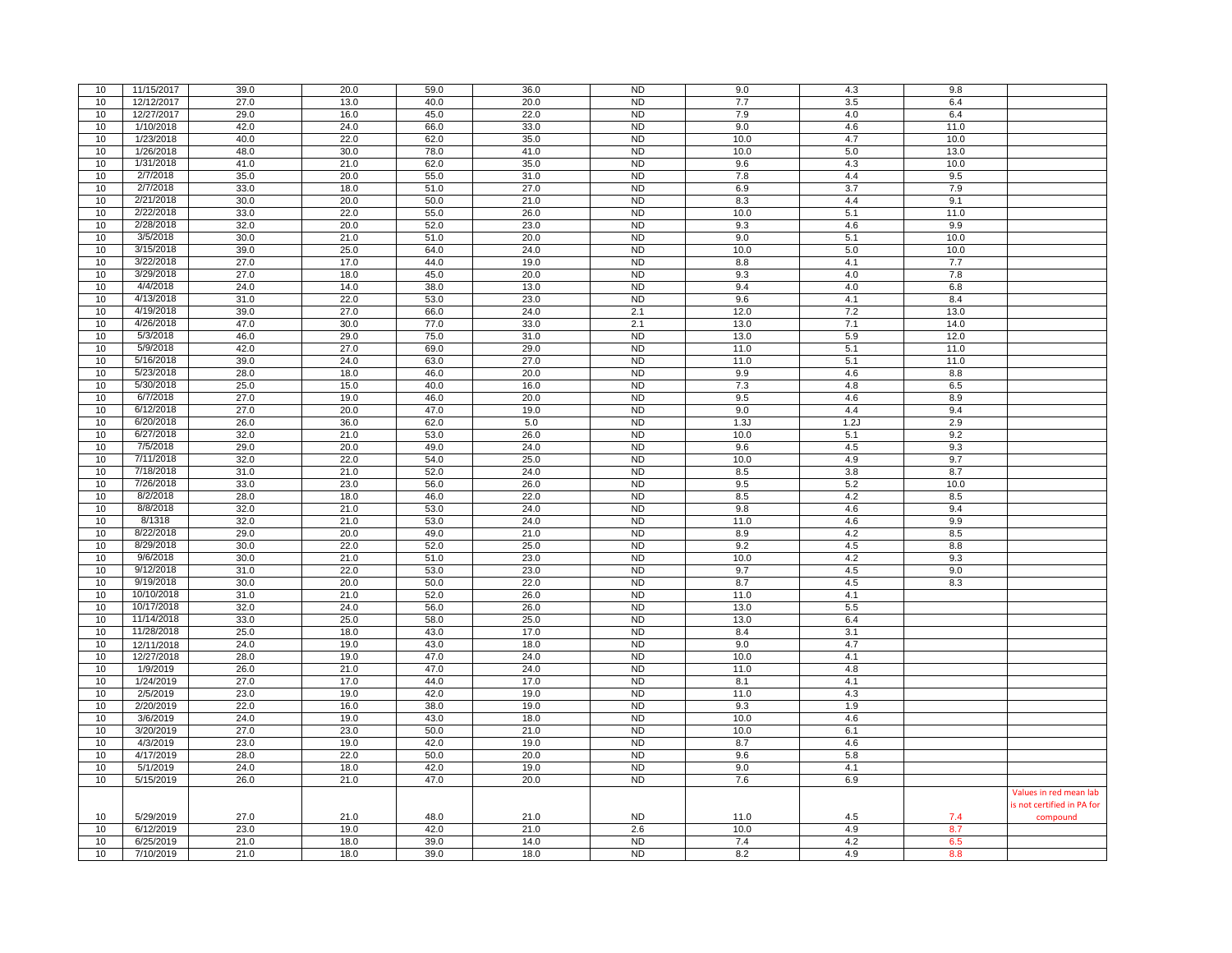| 10 | 11/15/2017 | 39.0 | 20.0 | 59.0 | 36.0 | <b>ND</b>      | 9.0  | 4.3     | 9.8  |                            |
|----|------------|------|------|------|------|----------------|------|---------|------|----------------------------|
| 10 | 12/12/2017 | 27.0 | 13.0 | 40.0 | 20.0 | <b>ND</b>      | 7.7  | 3.5     | 6.4  |                            |
| 10 | 12/27/2017 | 29.0 | 16.0 | 45.0 | 22.0 | <b>ND</b>      | 7.9  | 4.0     | 6.4  |                            |
| 10 | 1/10/2018  | 42.0 | 24.0 | 66.0 | 33.0 | N <sub>D</sub> | 9.0  | 4.6     | 11.0 |                            |
|    |            |      |      |      |      |                |      |         |      |                            |
| 10 | 1/23/2018  | 40.0 | 22.0 | 62.0 | 35.0 | <b>ND</b>      | 10.0 | 4.7     | 10.0 |                            |
| 10 | 1/26/2018  | 48.0 | 30.0 | 78.0 | 41.0 | <b>ND</b>      | 10.0 | 5.0     | 13.0 |                            |
| 10 | 1/31/2018  | 41.0 | 21.0 | 62.0 | 35.0 | <b>ND</b>      | 9.6  | 4.3     | 10.0 |                            |
| 10 | 2/7/2018   | 35.0 | 20.0 | 55.0 | 31.0 | <b>ND</b>      | 7.8  | 4.4     | 9.5  |                            |
| 10 | 2/7/2018   | 33.0 | 18.0 | 51.0 | 27.0 | <b>ND</b>      | 6.9  | 3.7     | 7.9  |                            |
| 10 | 2/21/2018  | 30.0 | 20.0 | 50.0 | 21.0 | <b>ND</b>      | 8.3  | 4.4     | 9.1  |                            |
| 10 | 2/22/2018  | 33.0 | 22.0 | 55.0 | 26.0 | <b>ND</b>      | 10.0 | 5.1     | 11.0 |                            |
| 10 | 2/28/2018  | 32.0 | 20.0 | 52.0 | 23.0 | <b>ND</b>      | 9.3  | 4.6     | 9.9  |                            |
|    | 3/5/2018   |      |      |      |      | <b>ND</b>      |      |         | 10.0 |                            |
| 10 |            | 30.0 | 21.0 | 51.0 | 20.0 |                | 9.0  | 5.1     |      |                            |
| 10 | 3/15/2018  | 39.0 | 25.0 | 64.0 | 24.0 | N <sub>D</sub> | 10.0 | $5.0\,$ | 10.0 |                            |
| 10 | 3/22/2018  | 27.0 | 17.0 | 44.0 | 19.0 | <b>ND</b>      | 8.8  | 4.1     | 7.7  |                            |
| 10 | 3/29/2018  | 27.0 | 18.0 | 45.0 | 20.0 | N <sub>D</sub> | 9.3  | 4.0     | 7.8  |                            |
| 10 | 4/4/2018   | 24.0 | 14.0 | 38.0 | 13.0 | <b>ND</b>      | 9.4  | 4.0     | 6.8  |                            |
| 10 | 4/13/2018  | 31.0 | 22.0 | 53.0 | 23.0 | <b>ND</b>      | 9.6  | 4.1     | 8.4  |                            |
| 10 | 4/19/2018  | 39.0 | 27.0 | 66.0 | 24.0 | 2.1            | 12.0 | 7.2     | 13.0 |                            |
| 10 | 4/26/2018  | 47.0 | 30.0 | 77.0 | 33.0 | 2.1            | 13.0 | 7.1     | 14.0 |                            |
| 10 | 5/3/2018   | 46.0 | 29.0 | 75.0 | 31.0 | N <sub>D</sub> |      |         |      |                            |
|    |            |      |      |      |      |                | 13.0 | 5.9     | 12.0 |                            |
| 10 | 5/9/2018   | 42.0 | 27.0 | 69.0 | 29.0 | <b>ND</b>      | 11.0 | 5.1     | 11.0 |                            |
| 10 | 5/16/2018  | 39.0 | 24.0 | 63.0 | 27.0 | <b>ND</b>      | 11.0 | 5.1     | 11.0 |                            |
| 10 | 5/23/2018  | 28.0 | 18.0 | 46.0 | 20.0 | <b>ND</b>      | 9.9  | 4.6     | 8.8  |                            |
| 10 | 5/30/2018  | 25.0 | 15.0 | 40.0 | 16.0 | <b>ND</b>      | 7.3  | 4.8     | 6.5  |                            |
| 10 | 6/7/2018   | 27.0 | 19.0 | 46.0 | 20.0 | <b>ND</b>      | 9.5  | 4.6     | 8.9  |                            |
| 10 | 6/12/2018  | 27.0 | 20.0 | 47.0 | 19.0 | <b>ND</b>      | 9.0  | 4.4     | 9.4  |                            |
| 10 | 6/20/2018  | 26.0 | 36.0 | 62.0 | 5.0  | <b>ND</b>      | 1.3J | 1.2J    | 2.9  |                            |
| 10 | 6/27/2018  | 32.0 | 21.0 | 53.0 | 26.0 | <b>ND</b>      | 10.0 | 5.1     | 9.2  |                            |
|    | 7/5/2018   |      |      |      |      |                |      |         |      |                            |
| 10 |            | 29.0 | 20.0 | 49.0 | 24.0 | N <sub>D</sub> | 9.6  | 4.5     | 9.3  |                            |
| 10 | 7/11/2018  | 32.0 | 22.0 | 54.0 | 25.0 | <b>ND</b>      | 10.0 | 4.9     | 9.7  |                            |
| 10 | 7/18/2018  | 31.0 | 21.0 | 52.0 | 24.0 | <b>ND</b>      | 8.5  | 3.8     | 8.7  |                            |
| 10 | 7/26/2018  | 33.0 | 23.0 | 56.0 | 26.0 | <b>ND</b>      | 9.5  | 5.2     | 10.0 |                            |
| 10 | 8/2/2018   | 28.0 | 18.0 | 46.0 | 22.0 | <b>ND</b>      | 8.5  | 4.2     | 8.5  |                            |
| 10 | 8/8/2018   | 32.0 | 21.0 | 53.0 | 24.0 | <b>ND</b>      | 9.8  | 4.6     | 9.4  |                            |
| 10 | 8/1318     | 32.0 | 21.0 | 53.0 | 24.0 | <b>ND</b>      | 11.0 | 4.6     | 9.9  |                            |
| 10 | 8/22/2018  | 29.0 | 20.0 | 49.0 | 21.0 | <b>ND</b>      | 8.9  | 4.2     | 8.5  |                            |
| 10 | 8/29/2018  | 30.0 | 22.0 | 52.0 | 25.0 | N <sub>D</sub> | 9.2  | 4.5     | 8.8  |                            |
|    |            |      |      |      |      |                |      |         |      |                            |
| 10 | 9/6/2018   | 30.0 | 21.0 | 51.0 | 23.0 | <b>ND</b>      | 10.0 | 4.2     | 9.3  |                            |
| 10 | 9/12/2018  | 31.0 | 22.0 | 53.0 | 23.0 | <b>ND</b>      | 9.7  | 4.5     | 9.0  |                            |
| 10 | 9/19/2018  | 30.0 | 20.0 | 50.0 | 22.0 | <b>ND</b>      | 8.7  | 4.5     | 8.3  |                            |
| 10 | 10/10/2018 | 31.0 | 21.0 | 52.0 | 26.0 | N <sub>D</sub> | 11.0 | 4.1     |      |                            |
| 10 | 10/17/2018 | 32.0 | 24.0 | 56.0 | 26.0 | <b>ND</b>      | 13.0 | 5.5     |      |                            |
| 10 | 11/14/2018 | 33.0 | 25.0 | 58.0 | 25.0 | <b>ND</b>      | 13.0 | 6.4     |      |                            |
| 10 | 11/28/2018 | 25.0 | 18.0 | 43.0 | 17.0 | <b>ND</b>      | 8.4  | 3.1     |      |                            |
| 10 | 12/11/2018 | 24.0 | 19.0 | 43.0 | 18.0 | <b>ND</b>      | 9.0  | 4.7     |      |                            |
|    |            |      |      |      |      | <b>ND</b>      |      |         |      |                            |
| 10 | 12/27/2018 | 28.0 | 19.0 | 47.0 | 24.0 |                | 10.0 | 4.1     |      |                            |
| 10 | 1/9/2019   | 26.0 | 21.0 | 47.0 | 24.0 | <b>ND</b>      | 11.0 | 4.8     |      |                            |
| 10 | 1/24/2019  | 27.0 | 17.0 | 44.0 | 17.0 | <b>ND</b>      | 8.1  | 4.1     |      |                            |
| 10 | 2/5/2019   | 23.0 | 19.0 | 42.0 | 19.0 | <b>ND</b>      | 11.0 | 4.3     |      |                            |
| 10 | 2/20/2019  | 22.0 | 16.0 | 38.0 | 19.0 | <b>ND</b>      | 9.3  | 1.9     |      |                            |
| 10 | 3/6/2019   | 24.0 | 19.0 | 43.0 | 18.0 | N <sub>D</sub> | 10.0 | 4.6     |      |                            |
| 10 | 3/20/2019  | 27.0 | 23.0 | 50.0 | 21.0 | <b>ND</b>      | 10.0 | 6.1     |      |                            |
| 10 | 4/3/2019   | 23.0 | 19.0 | 42.0 | 19.0 | <b>ND</b>      | 8.7  | 4.6     |      |                            |
| 10 | 4/17/2019  | 28.0 | 22.0 | 50.0 | 20.0 | N <sub>D</sub> | 9.6  | 5.8     |      |                            |
|    |            |      |      |      |      |                |      |         |      |                            |
| 10 | 5/1/2019   | 24.0 | 18.0 | 42.0 | 19.0 | <b>ND</b>      | 9.0  | 4.1     |      |                            |
| 10 | 5/15/2019  | 26.0 | 21.0 | 47.0 | 20.0 | N <sub>D</sub> | 7.6  | 6.9     |      |                            |
|    |            |      |      |      |      |                |      |         |      | Values in red mean lab     |
|    |            |      |      |      |      |                |      |         |      | is not certified in PA for |
| 10 | 5/29/2019  | 27.0 | 21.0 | 48.0 | 21.0 | <b>ND</b>      | 11.0 | 4.5     | 7.4  | compound                   |
| 10 | 6/12/2019  | 23.0 | 19.0 | 42.0 | 21.0 | 2.6            | 10.0 | 4.9     | 8.7  |                            |
| 10 | 6/25/2019  | 21.0 | 18.0 | 39.0 | 14.0 | <b>ND</b>      | 7.4  | 4.2     | 6.5  |                            |
| 10 | 7/10/2019  | 21.0 | 18.0 | 39.0 | 18.0 | <b>ND</b>      | 8.2  | 4.9     | 8.8  |                            |
|    |            |      |      |      |      |                |      |         |      |                            |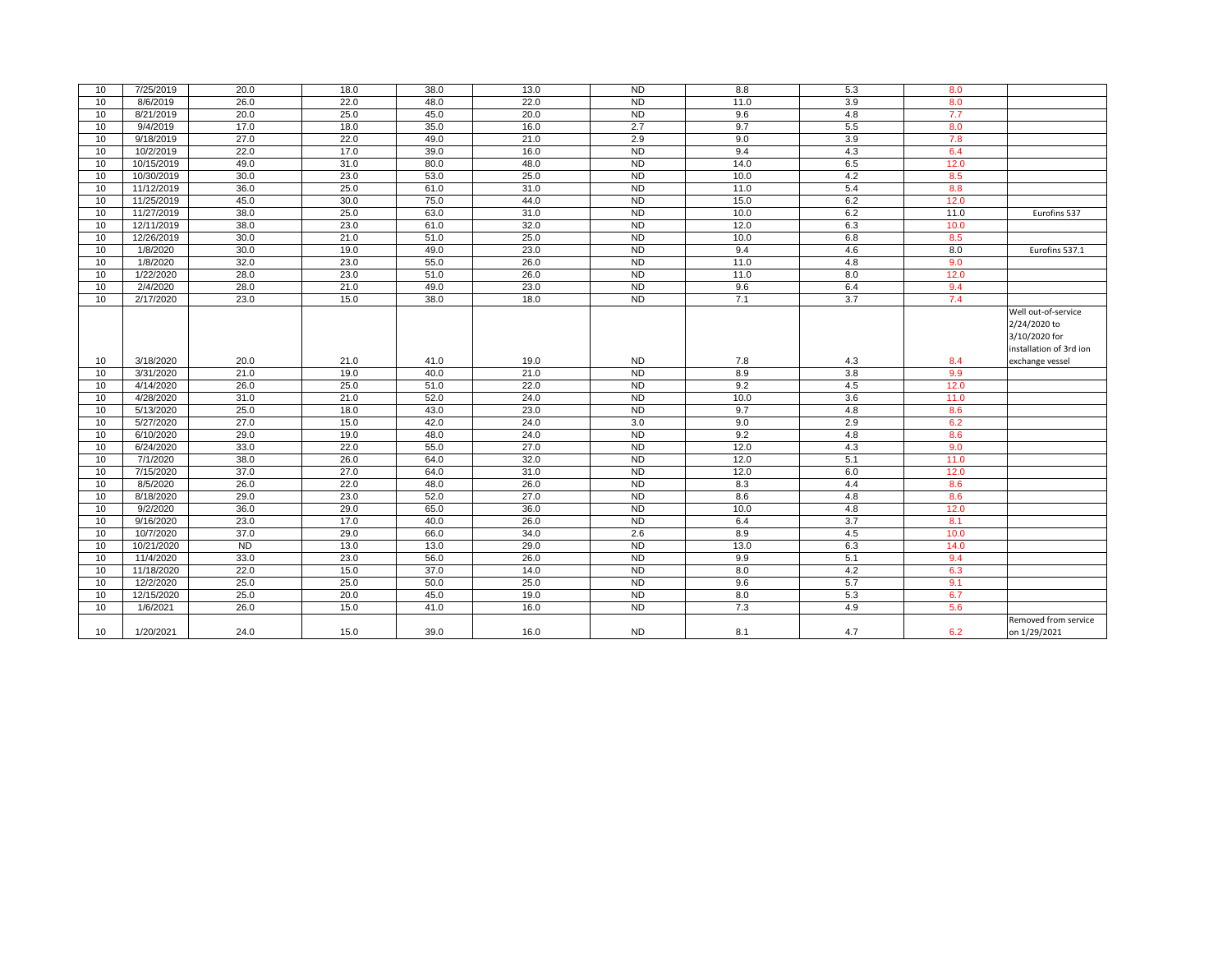| 10 | 7/25/2019  | 20.0      | 18.0 | 38.0 | 13.0              | <b>ND</b>      | 8.8  | 5.3 | 8.0  |                         |
|----|------------|-----------|------|------|-------------------|----------------|------|-----|------|-------------------------|
| 10 | 8/6/2019   | 26.0      | 22.0 | 48.0 | 22.0              | N <sub>D</sub> | 11.0 | 3.9 | 8.0  |                         |
| 10 | 8/21/2019  | 20.0      | 25.0 | 45.0 | 20.0              | N <sub>D</sub> | 9.6  | 4.8 | 7.7  |                         |
| 10 | 9/4/2019   | 17.0      | 18.0 | 35.0 | 16.0              | 2.7            | 9.7  | 5.5 | 8.0  |                         |
| 10 | 9/18/2019  | 27.0      | 22.0 | 49.0 | 21.0              | 2.9            | 9.0  | 3.9 | 7.8  |                         |
| 10 | 10/2/2019  | 22.0      | 17.0 | 39.0 | 16.0              | <b>ND</b>      | 9.4  | 4.3 | 6.4  |                         |
| 10 | 10/15/2019 | 49.0      | 31.0 | 80.0 | 48.0              | <b>ND</b>      | 14.0 | 6.5 | 12.0 |                         |
| 10 | 10/30/2019 | 30.0      | 23.0 | 53.0 | 25.0              | N <sub>D</sub> | 10.0 | 4.2 | 8.5  |                         |
| 10 | 11/12/2019 | 36.0      | 25.0 | 61.0 | 31.0              | <b>ND</b>      | 11.0 | 5.4 | 8.8  |                         |
| 10 | 11/25/2019 | 45.0      | 30.0 | 75.0 | 44.0              | ND             | 15.0 | 6.2 | 12.0 |                         |
| 10 | 11/27/2019 | 38.0      | 25.0 | 63.0 | 31.0              | ND             | 10.0 | 6.2 | 11.0 | Eurofins 537            |
| 10 | 12/11/2019 | 38.0      | 23.0 | 61.0 | 32.0              | N <sub>D</sub> | 12.0 | 6.3 | 10.0 |                         |
| 10 | 12/26/2019 | 30.0      | 21.0 | 51.0 | 25.0              | ND             | 10.0 | 6.8 | 8.5  |                         |
| 10 | 1/8/2020   | 30.0      | 19.0 | 49.0 | 23.0              | <b>ND</b>      | 9.4  | 4.6 | 8.0  | Eurofins 537.1          |
| 10 | 1/8/2020   | 32.0      | 23.0 | 55.0 | 26.0              | N <sub>D</sub> | 11.0 | 4.8 | 9.0  |                         |
| 10 | 1/22/2020  | 28.0      | 23.0 | 51.0 | 26.0              | ND             | 11.0 | 8.0 | 12.0 |                         |
| 10 | 2/4/2020   | 28.0      | 21.0 | 49.0 | 23.0              | <b>ND</b>      | 9.6  | 6.4 | 9.4  |                         |
| 10 | 2/17/2020  | 23.0      | 15.0 | 38.0 | 18.0              | N <sub>D</sub> | 7.1  | 3.7 | 7.4  |                         |
|    |            |           |      |      |                   |                |      |     |      | Well out-of-service     |
|    |            |           |      |      |                   |                |      |     |      | 2/24/2020 to            |
|    |            |           |      |      |                   |                |      |     |      | 3/10/2020 for           |
|    |            |           |      |      |                   |                |      |     |      | installation of 3rd ion |
| 10 | 3/18/2020  | 20.0      | 21.0 | 41.0 | 19.0              | <b>ND</b>      | 7.8  | 4.3 | 8.4  | exchange vessel         |
| 10 | 3/31/2020  | 21.0      | 19.0 | 40.0 | 21.0              | N <sub>D</sub> | 8.9  | 3.8 | 9.9  |                         |
| 10 | 4/14/2020  | 26.0      | 25.0 | 51.0 | 22.0              | <b>ND</b>      | 9.2  | 4.5 | 12.0 |                         |
| 10 | 4/28/2020  | 31.0      | 21.0 | 52.0 | 24.0              | ND             | 10.0 | 3.6 | 11.0 |                         |
| 10 | 5/13/2020  | 25.0      | 18.0 | 43.0 | 23.0              | <b>ND</b>      | 9.7  | 4.8 | 8.6  |                         |
| 10 | 5/27/2020  | 27.0      | 15.0 | 42.0 | 24.0              | 3.0            | 9.0  | 2.9 | 6.2  |                         |
| 10 | 6/10/2020  | 29.0      | 19.0 | 48.0 | 24.0              | ND             | 9.2  | 4.8 | 8.6  |                         |
| 10 | 6/24/2020  | 33.0      | 22.0 | 55.0 | $\overline{27.0}$ | <b>ND</b>      | 12.0 | 4.3 | 9.0  |                         |
| 10 | 7/1/2020   | 38.0      | 26.0 | 64.0 | 32.0              | ND             | 12.0 | 5.1 | 11.0 |                         |
| 10 | 7/15/2020  | 37.0      | 27.0 | 64.0 | 31.0              | ND             | 12.0 | 6.0 | 12.0 |                         |
| 10 | 8/5/2020   | 26.0      | 22.0 | 48.0 | 26.0              | ND             | 8.3  | 4.4 | 8.6  |                         |
| 10 | 8/18/2020  | 29.0      | 23.0 | 52.0 | 27.0              | N <sub>D</sub> | 8.6  | 4.8 | 8.6  |                         |
| 10 | 9/2/2020   | 36.0      | 29.0 | 65.0 | 36.0              | N <sub>D</sub> | 10.0 | 4.8 | 12.0 |                         |
| 10 | 9/16/2020  | 23.0      | 17.0 | 40.0 | 26.0              | ND             | 6.4  | 3.7 | 8.1  |                         |
| 10 | 10/7/2020  | 37.0      | 29.0 | 66.0 | 34.0              | 2.6            | 8.9  | 4.5 | 10.0 |                         |
| 10 | 10/21/2020 | <b>ND</b> | 13.0 | 13.0 | 29.0              | N <sub>D</sub> | 13.0 | 6.3 | 14.0 |                         |
| 10 | 11/4/2020  | 33.0      | 23.0 | 56.0 | 26.0              | <b>ND</b>      | 9.9  | 5.1 | 9.4  |                         |
| 10 | 11/18/2020 | 22.0      | 15.0 | 37.0 | 14.0              | N <sub>D</sub> | 8.0  | 4.2 | 6.3  |                         |
| 10 | 12/2/2020  | 25.0      | 25.0 | 50.0 | 25.0              | N <sub>D</sub> | 9.6  | 5.7 | 9.1  |                         |
| 10 | 12/15/2020 | 25.0      | 20.0 | 45.0 | 19.0              | ND             | 8.0  | 5.3 | 6.7  |                         |
| 10 | 1/6/2021   | 26.0      | 15.0 | 41.0 | 16.0              | N <sub>D</sub> | 7.3  | 4.9 | 5.6  |                         |
|    |            |           |      |      |                   |                |      |     |      | Removed from service    |
| 10 | 1/20/2021  | 24.0      | 15.0 | 39.0 | 16.0              | <b>ND</b>      | 8.1  | 4.7 | 6.2  | on 1/29/2021            |